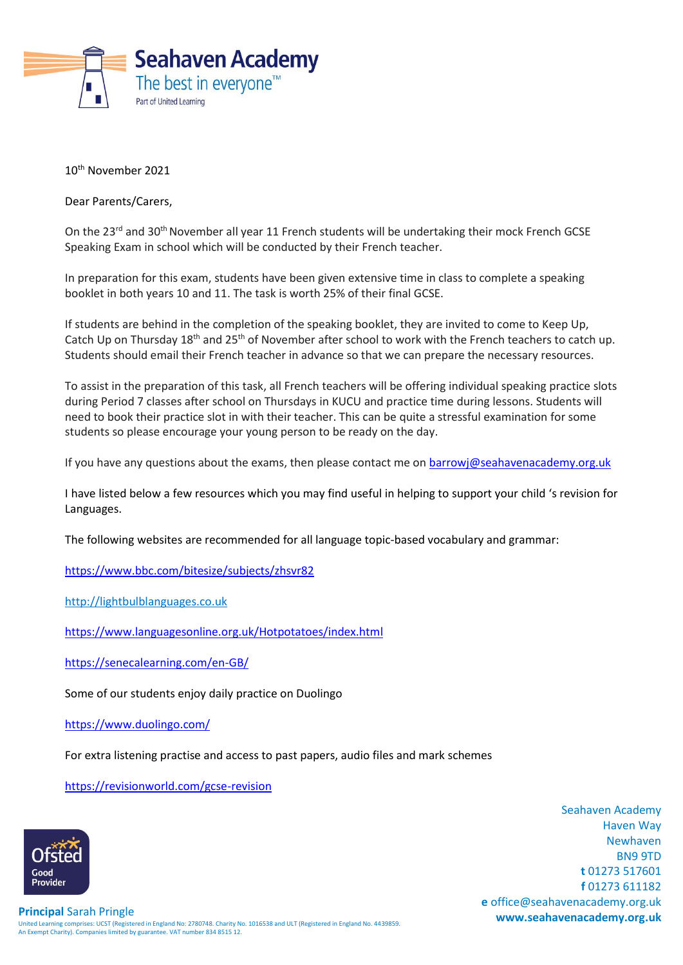

10th November 2021

Dear Parents/Carers,

On the 23<sup>rd</sup> and 30<sup>th</sup> November all year 11 French students will be undertaking their mock French GCSE Speaking Exam in school which will be conducted by their French teacher.

In preparation for this exam, students have been given extensive time in class to complete a speaking booklet in both years 10 and 11. The task is worth 25% of their final GCSE.

If students are behind in the completion of the speaking booklet, they are invited to come to Keep Up, Catch Up on Thursday 18<sup>th</sup> and 25<sup>th</sup> of November after school to work with the French teachers to catch up. Students should email their French teacher in advance so that we can prepare the necessary resources.

To assist in the preparation of this task, all French teachers will be offering individual speaking practice slots during Period 7 classes after school on Thursdays in KUCU and practice time during lessons. Students will need to book their practice slot in with their teacher. This can be quite a stressful examination for some students so please encourage your young person to be ready on the day.

If you have any questions about the exams, then please contact me on [barrowj@seahavenacademy.org.uk](mailto:barrowj@seahavenacademy.org.uk)

I have listed below a few resources which you may find useful in helping to support your child 's revision for Languages.

The following websites are recommended for all language topic-based vocabulary and grammar:

<https://www.bbc.com/bitesize/subjects/zhsvr82>

[http://lightbulblanguages.co.uk](http://lightbulblanguages.co.uk/)

<https://www.languagesonline.org.uk/Hotpotatoes/index.html>

<https://senecalearning.com/en-GB/>

Some of our students enjoy daily practice on Duolingo

<https://www.duolingo.com/>

For extra listening practise and access to past papers, audio files and mark schemes

<https://revisionworld.com/gcse-revision>



Seahaven Academy Haven Way Newhaven BN9 9TD **t** 01273 517601 **f** 01273 611182 **e** office@seahavenacademy.org.uk